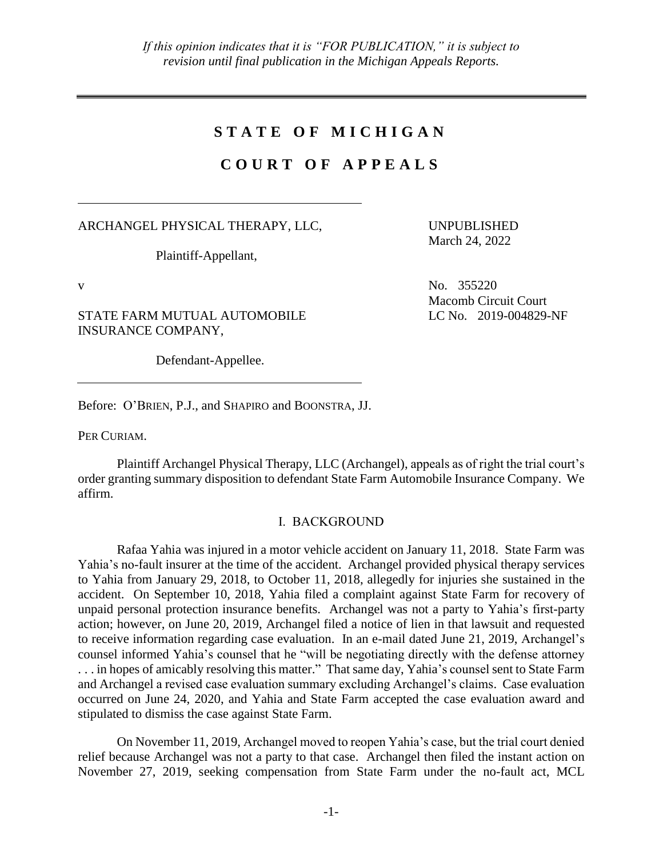# **S T A T E O F M I C H I G A N**

# **C O U R T O F A P P E A L S**

## ARCHANGEL PHYSICAL THERAPY, LLC,

Plaintiff-Appellant,

STATE FARM MUTUAL AUTOMOBILE INSURANCE COMPANY,

Defendant-Appellee.

Before: O'BRIEN, P.J., and SHAPIRO and BOONSTRA, JJ.

PER CURIAM.

Plaintiff Archangel Physical Therapy, LLC (Archangel), appeals as of right the trial court's order granting summary disposition to defendant State Farm Automobile Insurance Company. We affirm.

## I. BACKGROUND

Rafaa Yahia was injured in a motor vehicle accident on January 11, 2018. State Farm was Yahia's no-fault insurer at the time of the accident. Archangel provided physical therapy services to Yahia from January 29, 2018, to October 11, 2018, allegedly for injuries she sustained in the accident. On September 10, 2018, Yahia filed a complaint against State Farm for recovery of unpaid personal protection insurance benefits. Archangel was not a party to Yahia's first-party action; however, on June 20, 2019, Archangel filed a notice of lien in that lawsuit and requested to receive information regarding case evaluation. In an e-mail dated June 21, 2019, Archangel's counsel informed Yahia's counsel that he "will be negotiating directly with the defense attorney . . . in hopes of amicably resolving this matter." That same day, Yahia's counsel sent to State Farm and Archangel a revised case evaluation summary excluding Archangel's claims. Case evaluation occurred on June 24, 2020, and Yahia and State Farm accepted the case evaluation award and stipulated to dismiss the case against State Farm.

On November 11, 2019, Archangel moved to reopen Yahia's case, but the trial court denied relief because Archangel was not a party to that case. Archangel then filed the instant action on November 27, 2019, seeking compensation from State Farm under the no-fault act, MCL

March 24, 2022

UNPUBLISHED

 $V$  No. 355220 Macomb Circuit Court LC No. 2019-004829-NF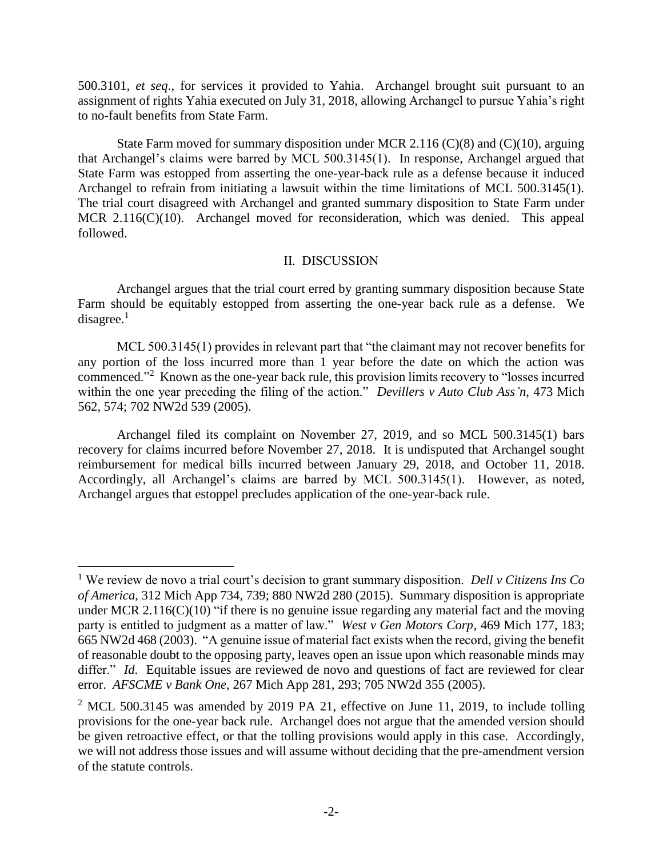500.3101*, et seq*., for services it provided to Yahia. Archangel brought suit pursuant to an assignment of rights Yahia executed on July 31, 2018, allowing Archangel to pursue Yahia's right to no-fault benefits from State Farm.

State Farm moved for summary disposition under MCR 2.116  $(C)(8)$  and  $(C)(10)$ , arguing that Archangel's claims were barred by MCL 500.3145(1). In response, Archangel argued that State Farm was estopped from asserting the one-year-back rule as a defense because it induced Archangel to refrain from initiating a lawsuit within the time limitations of MCL 500.3145(1). The trial court disagreed with Archangel and granted summary disposition to State Farm under MCR 2.116(C)(10). Archangel moved for reconsideration, which was denied. This appeal followed.

## II. DISCUSSION

Archangel argues that the trial court erred by granting summary disposition because State Farm should be equitably estopped from asserting the one-year back rule as a defense. We  $disagree.<sup>1</sup>$ 

MCL 500.3145(1) provides in relevant part that "the claimant may not recover benefits for any portion of the loss incurred more than 1 year before the date on which the action was commenced."<sup>2</sup> Known as the one-year back rule, this provision limits recovery to "losses incurred within the one year preceding the filing of the action." *Devillers v Auto Club Ass'n*, 473 Mich 562, 574; 702 NW2d 539 (2005).

Archangel filed its complaint on November 27, 2019, and so MCL 500.3145(1) bars recovery for claims incurred before November 27, 2018. It is undisputed that Archangel sought reimbursement for medical bills incurred between January 29, 2018, and October 11, 2018. Accordingly, all Archangel's claims are barred by MCL 500.3145(1). However, as noted, Archangel argues that estoppel precludes application of the one-year-back rule.

 $\overline{a}$ 

<sup>1</sup> We review de novo a trial court's decision to grant summary disposition. *Dell v Citizens Ins Co of America*, 312 Mich App 734, 739; 880 NW2d 280 (2015). Summary disposition is appropriate under MCR 2.116(C)(10) "if there is no genuine issue regarding any material fact and the moving party is entitled to judgment as a matter of law." *West v Gen Motors Corp*, 469 Mich 177, 183; 665 NW2d 468 (2003). "A genuine issue of material fact exists when the record, giving the benefit of reasonable doubt to the opposing party, leaves open an issue upon which reasonable minds may differ." *Id.* Equitable issues are reviewed de novo and questions of fact are reviewed for clear error. *AFSCME v Bank One*, 267 Mich App 281, 293; 705 NW2d 355 (2005).

 $2^{\circ}$  MCL 500.3145 was amended by 2019 PA 21, effective on June 11, 2019, to include tolling provisions for the one-year back rule. Archangel does not argue that the amended version should be given retroactive effect, or that the tolling provisions would apply in this case. Accordingly, we will not address those issues and will assume without deciding that the pre-amendment version of the statute controls.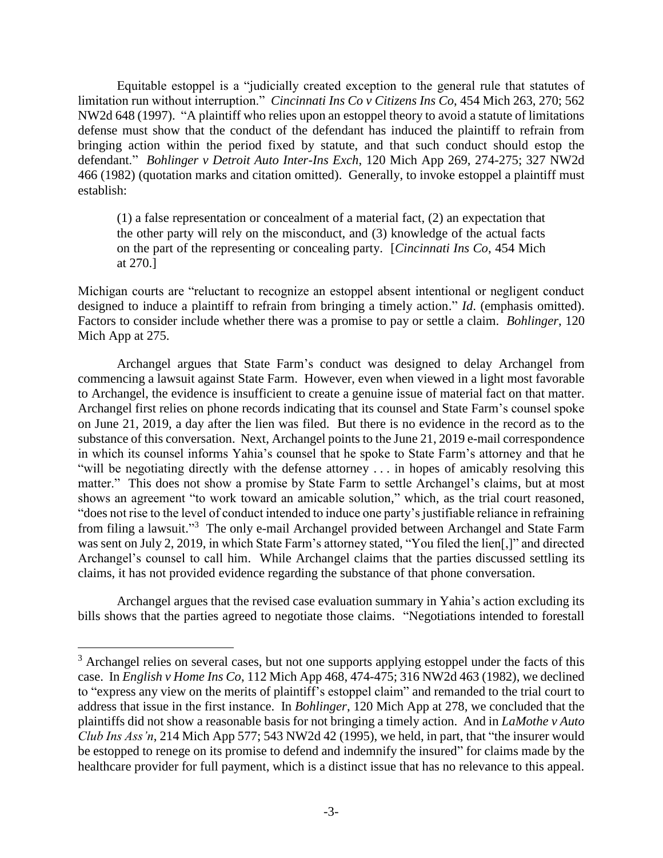Equitable estoppel is a "judicially created exception to the general rule that statutes of limitation run without interruption." *Cincinnati Ins Co v Citizens Ins Co*, 454 Mich 263, 270; 562 NW2d 648 (1997). "A plaintiff who relies upon an estoppel theory to avoid a statute of limitations defense must show that the conduct of the defendant has induced the plaintiff to refrain from bringing action within the period fixed by statute, and that such conduct should estop the defendant." *Bohlinger v Detroit Auto Inter-Ins Exch*, 120 Mich App 269, 274-275; 327 NW2d 466 (1982) (quotation marks and citation omitted). Generally, to invoke estoppel a plaintiff must establish:

(1) a false representation or concealment of a material fact, (2) an expectation that the other party will rely on the misconduct, and (3) knowledge of the actual facts on the part of the representing or concealing party. [*Cincinnati Ins Co*, 454 Mich at 270.]

Michigan courts are "reluctant to recognize an estoppel absent intentional or negligent conduct designed to induce a plaintiff to refrain from bringing a timely action." *Id*. (emphasis omitted). Factors to consider include whether there was a promise to pay or settle a claim. *Bohlinger*, 120 Mich App at 275.

Archangel argues that State Farm's conduct was designed to delay Archangel from commencing a lawsuit against State Farm. However, even when viewed in a light most favorable to Archangel, the evidence is insufficient to create a genuine issue of material fact on that matter. Archangel first relies on phone records indicating that its counsel and State Farm's counsel spoke on June 21, 2019, a day after the lien was filed. But there is no evidence in the record as to the substance of this conversation. Next, Archangel points to the June 21, 2019 e-mail correspondence in which its counsel informs Yahia's counsel that he spoke to State Farm's attorney and that he "will be negotiating directly with the defense attorney . . . in hopes of amicably resolving this matter." This does not show a promise by State Farm to settle Archangel's claims, but at most shows an agreement "to work toward an amicable solution," which, as the trial court reasoned, "does not rise to the level of conduct intended to induce one party's justifiable reliance in refraining from filing a lawsuit."<sup>3</sup> The only e-mail Archangel provided between Archangel and State Farm was sent on July 2, 2019, in which State Farm's attorney stated, "You filed the lien[,]" and directed Archangel's counsel to call him. While Archangel claims that the parties discussed settling its claims, it has not provided evidence regarding the substance of that phone conversation.

Archangel argues that the revised case evaluation summary in Yahia's action excluding its bills shows that the parties agreed to negotiate those claims. "Negotiations intended to forestall

 $\overline{a}$ 

<sup>&</sup>lt;sup>3</sup> Archangel relies on several cases, but not one supports applying estoppel under the facts of this case. In *English v Home Ins Co*, 112 Mich App 468, 474-475; 316 NW2d 463 (1982), we declined to "express any view on the merits of plaintiff's estoppel claim" and remanded to the trial court to address that issue in the first instance. In *Bohlinger*, 120 Mich App at 278, we concluded that the plaintiffs did not show a reasonable basis for not bringing a timely action. And in *LaMothe v Auto Club Ins Ass'n*, 214 Mich App 577; 543 NW2d 42 (1995), we held, in part, that "the insurer would be estopped to renege on its promise to defend and indemnify the insured" for claims made by the healthcare provider for full payment, which is a distinct issue that has no relevance to this appeal.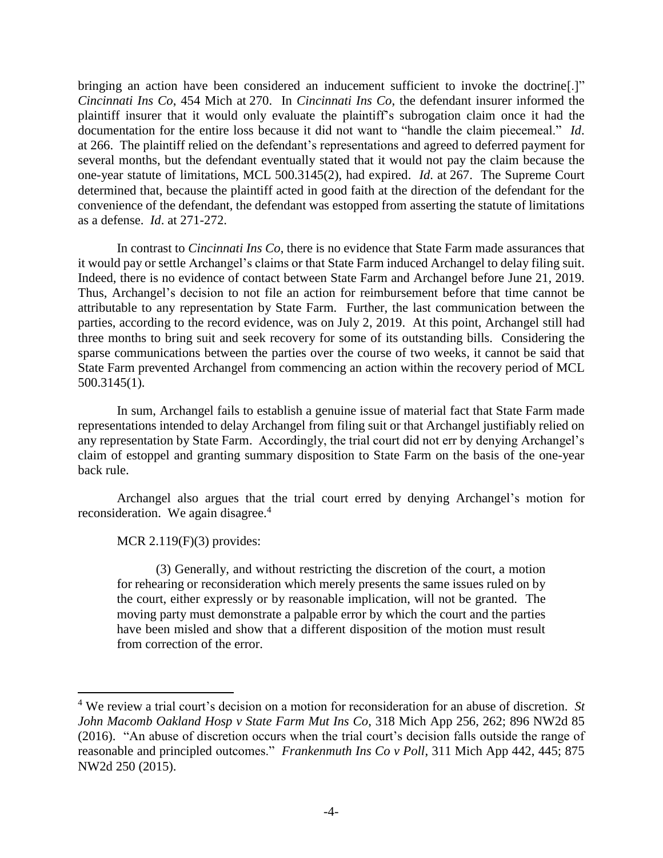bringing an action have been considered an inducement sufficient to invoke the doctrine[.]" *Cincinnati Ins Co*, 454 Mich at 270. In *Cincinnati Ins Co*, the defendant insurer informed the plaintiff insurer that it would only evaluate the plaintiff's subrogation claim once it had the documentation for the entire loss because it did not want to "handle the claim piecemeal." *Id*. at 266. The plaintiff relied on the defendant's representations and agreed to deferred payment for several months, but the defendant eventually stated that it would not pay the claim because the one-year statute of limitations, MCL 500.3145(2), had expired. *Id*. at 267. The Supreme Court determined that, because the plaintiff acted in good faith at the direction of the defendant for the convenience of the defendant, the defendant was estopped from asserting the statute of limitations as a defense. *Id*. at 271-272.

In contrast to *Cincinnati Ins Co*, there is no evidence that State Farm made assurances that it would pay or settle Archangel's claims or that State Farm induced Archangel to delay filing suit. Indeed, there is no evidence of contact between State Farm and Archangel before June 21, 2019. Thus, Archangel's decision to not file an action for reimbursement before that time cannot be attributable to any representation by State Farm. Further, the last communication between the parties, according to the record evidence, was on July 2, 2019. At this point, Archangel still had three months to bring suit and seek recovery for some of its outstanding bills. Considering the sparse communications between the parties over the course of two weeks, it cannot be said that State Farm prevented Archangel from commencing an action within the recovery period of MCL 500.3145(1).

In sum, Archangel fails to establish a genuine issue of material fact that State Farm made representations intended to delay Archangel from filing suit or that Archangel justifiably relied on any representation by State Farm. Accordingly, the trial court did not err by denying Archangel's claim of estoppel and granting summary disposition to State Farm on the basis of the one-year back rule.

Archangel also argues that the trial court erred by denying Archangel's motion for reconsideration. We again disagree.<sup>4</sup>

MCR 2.119(F)(3) provides:

 $\overline{a}$ 

(3) Generally, and without restricting the discretion of the court, a motion for rehearing or reconsideration which merely presents the same issues ruled on by the court, either expressly or by reasonable implication, will not be granted. The moving party must demonstrate a palpable error by which the court and the parties have been misled and show that a different disposition of the motion must result from correction of the error.

<sup>4</sup> We review a trial court's decision on a motion for reconsideration for an abuse of discretion. *St John Macomb Oakland Hosp v State Farm Mut Ins Co*, 318 Mich App 256, 262; 896 NW2d 85 (2016). "An abuse of discretion occurs when the trial court's decision falls outside the range of reasonable and principled outcomes." *Frankenmuth Ins Co v Poll*, 311 Mich App 442, 445; 875 NW2d 250 (2015).